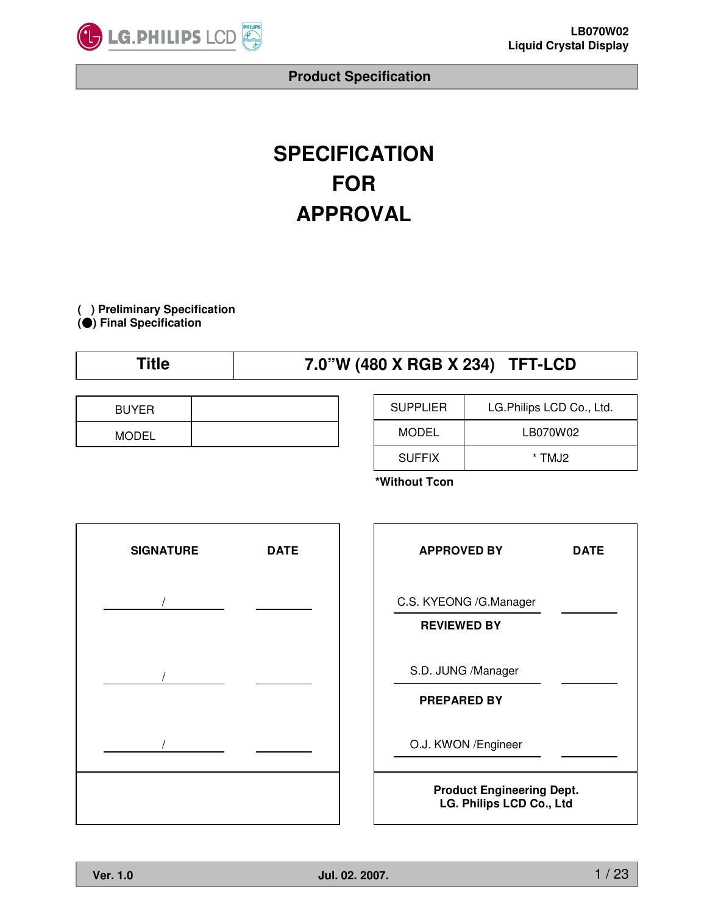

# **SPECIFICATION FOR APPROVAL**

**( ) Preliminary Specification (**̻**) Final Specification**

| Title | 7.0"W (480 X RGB X 234) TFT-LCD |  |
|-------|---------------------------------|--|
|-------|---------------------------------|--|

| <b>BUYER</b> |  |
|--------------|--|
| <b>MODEL</b> |  |

| <b>SUPPLIER</b> | LG. Philips LCD Co., Ltd. |
|-----------------|---------------------------|
| MODEL           | LB070W02                  |
| <b>SUFFIX</b>   | * TMJ2                    |

**\*Without Tcon**

| <b>SIGNATURE</b> | <b>DATE</b> |
|------------------|-------------|
| $\prime$         |             |
|                  |             |
|                  |             |
| $\sqrt{2}$       |             |
|                  |             |

| <b>APPROVED BY</b>                                           | DATE |  |  |  |
|--------------------------------------------------------------|------|--|--|--|
| C.S. KYEONG /G.Manager<br><b>REVIEWED BY</b>                 |      |  |  |  |
| S.D. JUNG /Manager<br><b>PREPARED BY</b>                     |      |  |  |  |
| O.J. KWON / Engineer                                         |      |  |  |  |
| <b>Product Engineering Dept.</b><br>LG. Philips LCD Co., Ltd |      |  |  |  |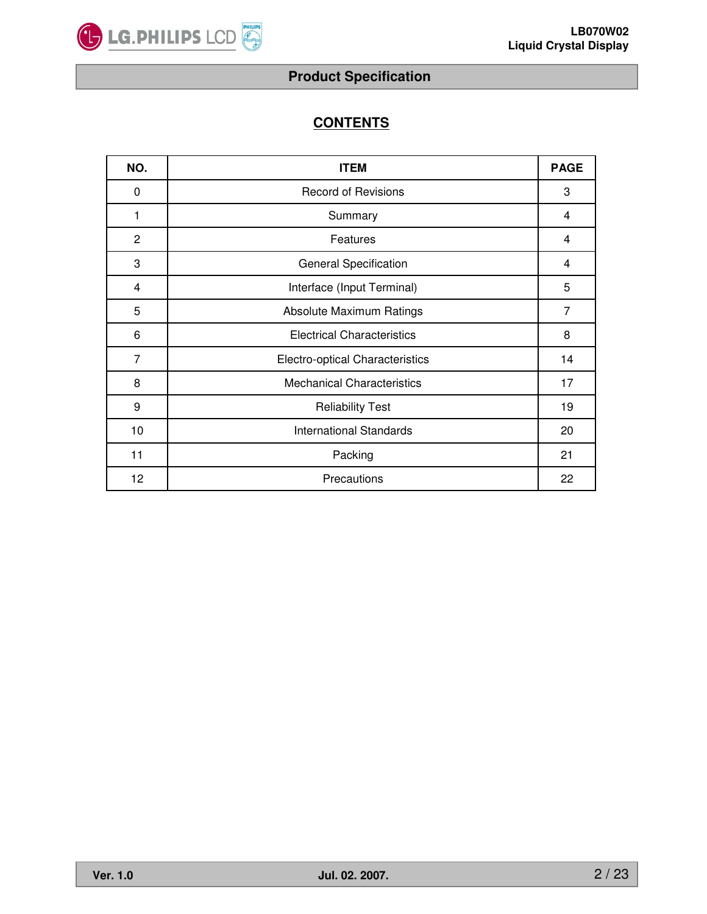

# **CONTENTS**

| NO. | <b>ITEM</b>                       | <b>PAGE</b>    |
|-----|-----------------------------------|----------------|
| 0   | <b>Record of Revisions</b>        | 3              |
| 1   | Summary                           | 4              |
| 2   | Features                          | $\overline{4}$ |
| 3   | <b>General Specification</b>      | $\overline{4}$ |
| 4   | Interface (Input Terminal)        | 5              |
| 5   | Absolute Maximum Ratings          | 7              |
| 6   | <b>Electrical Characteristics</b> | 8              |
| 7   | Electro-optical Characteristics   | 14             |
| 8   | <b>Mechanical Characteristics</b> | 17             |
| 9   | <b>Reliability Test</b>           | 19             |
| 10  | <b>International Standards</b>    | 20             |
| 11  | Packing                           | 21             |
| 12  | Precautions                       | 22             |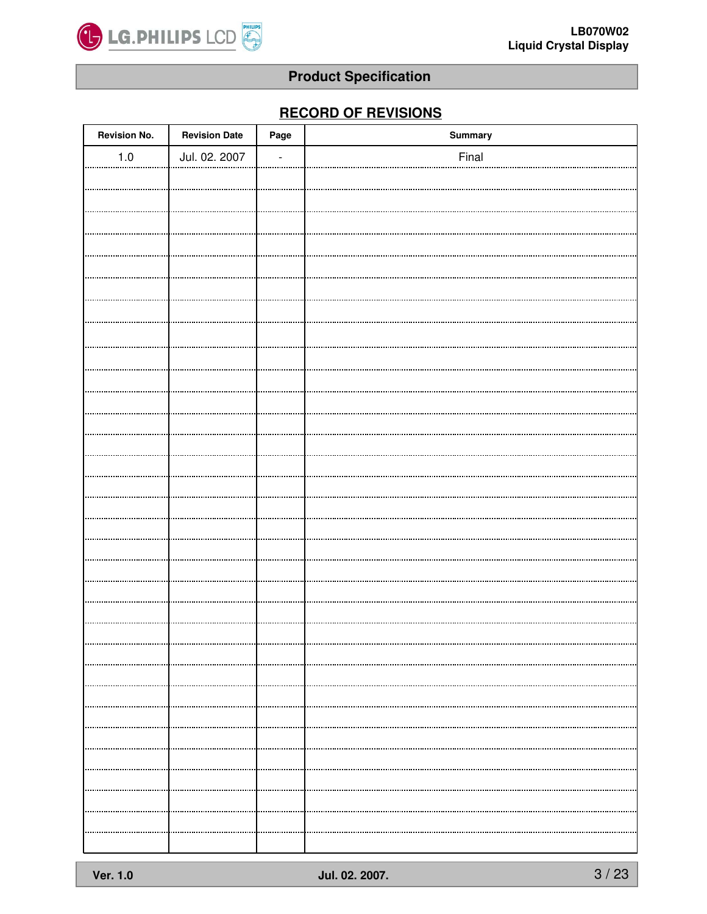

# **RECORD OF REVISIONS**

| <b>Revision No.</b> | <b>Revision Date</b> | Page           | Summary |
|---------------------|----------------------|----------------|---------|
| $1.0\,$             | Jul. 02. 2007        | $\overline{a}$ | Final   |
|                     |                      |                |         |
|                     |                      |                |         |
|                     |                      |                |         |
|                     |                      |                |         |
|                     |                      |                |         |
|                     |                      |                |         |
|                     |                      |                |         |
|                     |                      |                |         |
|                     |                      |                |         |
|                     |                      |                |         |
|                     |                      |                |         |
|                     |                      |                |         |
|                     |                      |                |         |
|                     |                      |                |         |
|                     |                      |                |         |
|                     |                      |                |         |
|                     |                      |                |         |
|                     |                      |                |         |
|                     |                      |                |         |
|                     |                      |                |         |
|                     |                      |                |         |
|                     |                      |                |         |
|                     |                      |                |         |
|                     |                      |                |         |
|                     |                      |                |         |
|                     |                      |                |         |
|                     |                      |                |         |
|                     |                      |                |         |
|                     |                      |                |         |
|                     |                      |                |         |
|                     |                      |                |         |
|                     |                      |                |         |
|                     |                      |                |         |
|                     |                      |                |         |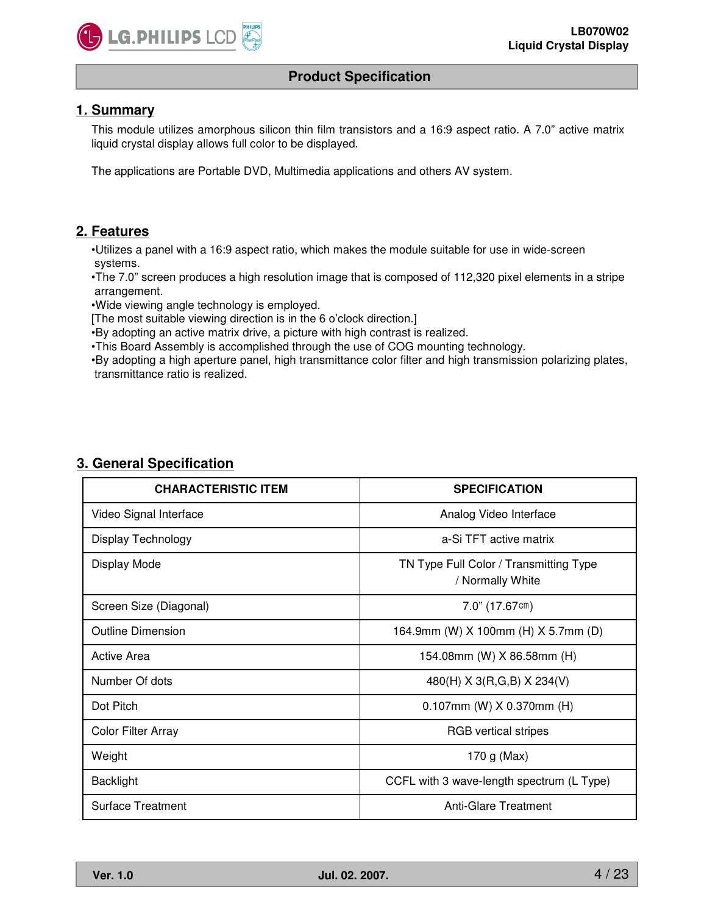

## **1. Summary**

This module utilizes amorphous silicon thin film transistors and a 16:9 aspect ratio. A 7.0" active matrix liquid crystal display allows full color to be displayed.

The applications are Portable DVD, Multimedia applications and others AV system.

# **2. Features**

•Utilizes a panel with a 16:9 aspect ratio, which makes the module suitable for use in wide-screen systems.

•The 7.0" screen produces a high resolution image that is composed of 112,320 pixel elements in a stripe arrangement.

•Wide viewing angle technology is employed.

[The most suitable viewing direction is in the 6 o'clock direction.]

•By adopting an active matrix drive, a picture with high contrast is realized.

•This Board Assembly is accomplished through the use of COG mounting technology.

•By adopting a high aperture panel, high transmittance color filter and high transmission polarizing plates, transmittance ratio is realized.

|--|

| <b>CHARACTERISTIC ITEM</b> | <b>SPECIFICATION</b>                                       |  |  |
|----------------------------|------------------------------------------------------------|--|--|
| Video Signal Interface     | Analog Video Interface                                     |  |  |
| Display Technology         | a-Si TFT active matrix                                     |  |  |
| Display Mode               | TN Type Full Color / Transmitting Type<br>/ Normally White |  |  |
| Screen Size (Diagonal)     | $7.0$ " (17.67cm)                                          |  |  |
| Outline Dimension          | 164.9mm (W) X 100mm (H) X 5.7mm (D)                        |  |  |
| <b>Active Area</b>         | 154.08mm (W) X 86.58mm (H)                                 |  |  |
| Number Of dots             | 480(H) X 3(R,G,B) X 234(V)                                 |  |  |
| Dot Pitch                  | $0.107$ mm (W) X 0.370mm (H)                               |  |  |
| <b>Color Filter Array</b>  | <b>RGB</b> vertical stripes                                |  |  |
| Weight                     | 170 g (Max)                                                |  |  |
| <b>Backlight</b>           | CCFL with 3 wave-length spectrum (L Type)                  |  |  |
| <b>Surface Treatment</b>   | Anti-Glare Treatment                                       |  |  |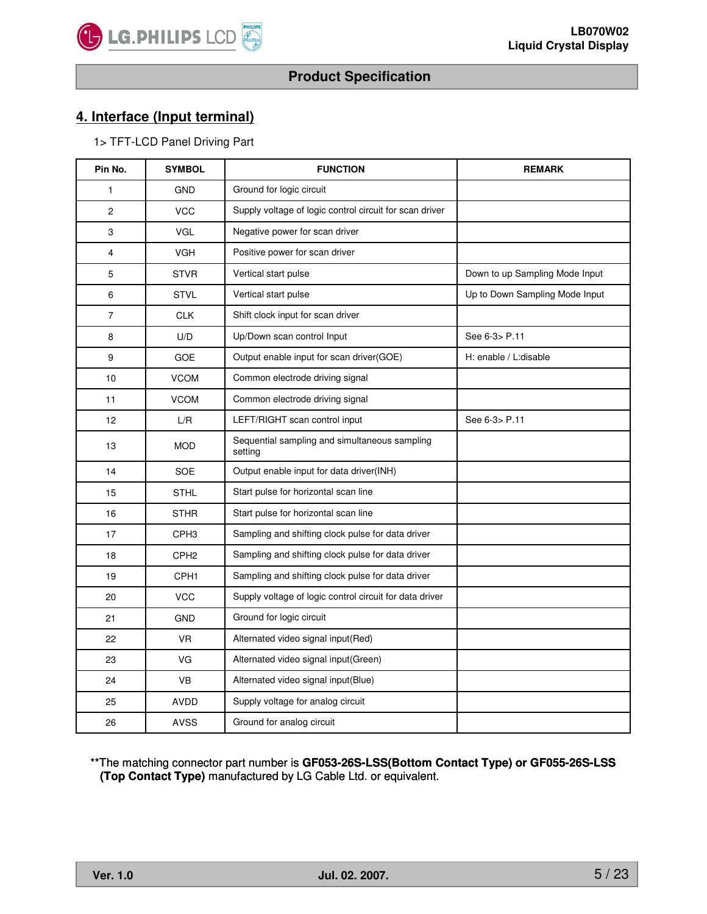

# **4. Interface (Input terminal)**

1> TFT-LCD Panel Driving Part

| Pin No.        | <b>SYMBOL</b>    | <b>FUNCTION</b>                                          | <b>REMARK</b>                  |
|----------------|------------------|----------------------------------------------------------|--------------------------------|
| 1              | <b>GND</b>       | Ground for logic circuit                                 |                                |
| $\overline{c}$ | <b>VCC</b>       | Supply voltage of logic control circuit for scan driver  |                                |
| 3              | <b>VGL</b>       | Negative power for scan driver                           |                                |
| 4              | <b>VGH</b>       | Positive power for scan driver                           |                                |
| 5              | <b>STVR</b>      | Vertical start pulse                                     | Down to up Sampling Mode Input |
| 6              | <b>STVL</b>      | Vertical start pulse                                     | Up to Down Sampling Mode Input |
| $\overline{7}$ | <b>CLK</b>       | Shift clock input for scan driver                        |                                |
| 8              | U/D              | Up/Down scan control Input                               | See 6-3> P.11                  |
| 9              | <b>GOE</b>       | Output enable input for scan driver(GOE)                 | H: enable / L:disable          |
| 10             | <b>VCOM</b>      | Common electrode driving signal                          |                                |
| 11             | <b>VCOM</b>      | Common electrode driving signal                          |                                |
| 12             | L/R              | LEFT/RIGHT scan control input                            | See 6-3> P.11                  |
| 13             | <b>MOD</b>       | Sequential sampling and simultaneous sampling<br>setting |                                |
| 14             | SOE              | Output enable input for data driver(INH)                 |                                |
| 15             | <b>STHL</b>      | Start pulse for horizontal scan line                     |                                |
| 16             | <b>STHR</b>      | Start pulse for horizontal scan line                     |                                |
| 17             | CPH <sub>3</sub> | Sampling and shifting clock pulse for data driver        |                                |
| 18             | CPH <sub>2</sub> | Sampling and shifting clock pulse for data driver        |                                |
| 19             | CPH <sub>1</sub> | Sampling and shifting clock pulse for data driver        |                                |
| 20             | <b>VCC</b>       | Supply voltage of logic control circuit for data driver  |                                |
| 21             | <b>GND</b>       | Ground for logic circuit                                 |                                |
| 22             | VR.              | Alternated video signal input(Red)                       |                                |
| 23             | VG               | Alternated video signal input(Green)                     |                                |
| 24             | <b>VB</b>        | Alternated video signal input(Blue)                      |                                |
| 25             | AVDD             | Supply voltage for analog circuit                        |                                |
| 26             | <b>AVSS</b>      | Ground for analog circuit                                |                                |

\*\*The matching connector part number is **GF053-26S-LSS(Bottom Contact Type) or GF055-26S-LSS (Top Contact Type)** manufactured by LG Cable Ltd. or equivalent.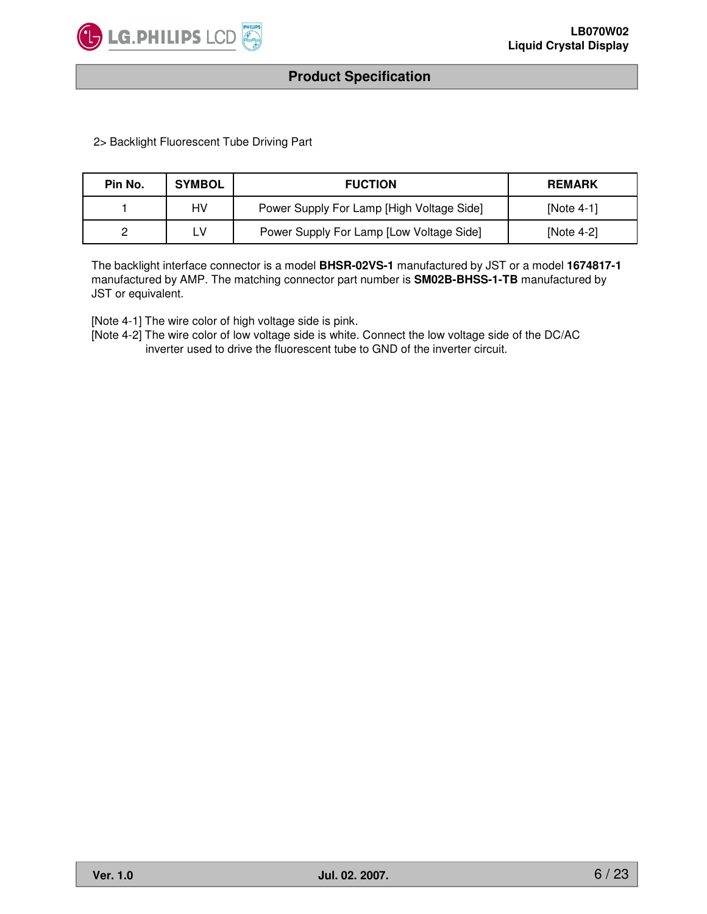

2> Backlight Fluorescent Tube Driving Part

| Pin No. | <b>SYMBOL</b> | <b>FUCTION</b>                            | <b>REMARK</b> |
|---------|---------------|-------------------------------------------|---------------|
|         | HV            | Power Supply For Lamp [High Voltage Side] | [Note $4-1$ ] |
|         | ∟V            | Power Supply For Lamp [Low Voltage Side]  | [Note $4-2$ ] |

The backlight interface connector is a model **BHSR-02VS-1** manufactured by JST or a model **1674817-1** manufactured by AMP. The matching connector part number is **SM02B-BHSS-1-TB** manufactured by JST or equivalent.

[Note 4-1] The wire color of high voltage side is pink.

[Note 4-2] The wire color of low voltage side is white. Connect the low voltage side of the DC/AC inverter used to drive the fluorescent tube to GND of the inverter circuit.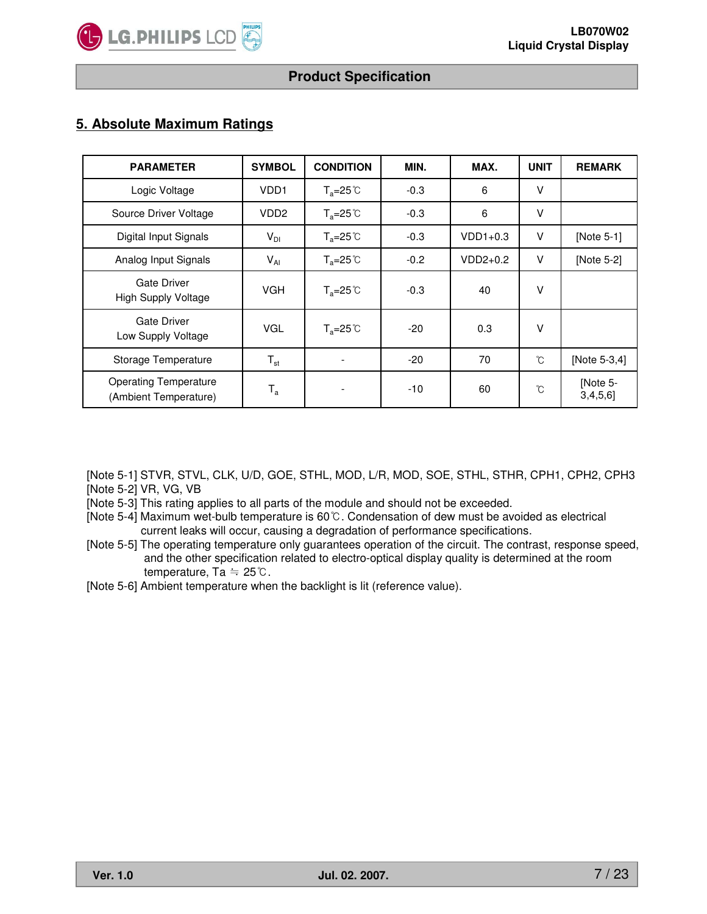

# **5. Absolute Maximum Ratings**

| <b>PARAMETER</b>                                      | <b>SYMBOL</b>           | <b>CONDITION</b>          | MIN.   | MAX.       | <b>UNIT</b> | <b>REMARK</b>       |
|-------------------------------------------------------|-------------------------|---------------------------|--------|------------|-------------|---------------------|
| Logic Voltage                                         | VDD <sub>1</sub>        | $T_a = 25^\circ \text{C}$ | $-0.3$ | 6          | $\vee$      |                     |
| Source Driver Voltage                                 | VDD <sub>2</sub>        | $T_a = 25^\circ \text{C}$ | $-0.3$ | 6          | V           |                     |
| Digital Input Signals                                 | $V_{DI}$                | $T_a = 25^{\circ}C$       | $-0.3$ | $VDD1+0.3$ | V           | [Note 5-1]          |
| Analog Input Signals                                  | $V_{AI}$                | $T_a = 25^\circ \text{C}$ | $-0.2$ | $VDD2+0.2$ | $\vee$      | [Note 5-2]          |
| <b>Gate Driver</b><br>High Supply Voltage             | <b>VGH</b>              | $T_a = 25^\circ \text{C}$ | $-0.3$ | 40         | $\vee$      |                     |
| <b>Gate Driver</b><br>Low Supply Voltage              | <b>VGL</b>              | $T_a = 25^\circ \text{C}$ | $-20$  | 0.3        | V           |                     |
| Storage Temperature                                   | $T_{\rm st}$            |                           | $-20$  | 70         | °C          | [Note 5-3,4]        |
| <b>Operating Temperature</b><br>(Ambient Temperature) | $\mathsf{T}_\mathtt{a}$ |                           | $-10$  | 60         | °C          | [Note 5-<br>3,4,5,6 |

[Note 5-1] STVR, STVL, CLK, U/D, GOE, STHL, MOD, L/R, MOD, SOE, STHL, STHR, CPH1, CPH2, CPH3 [Note 5-2] VR, VG, VB

[Note 5-3] This rating applies to all parts of the module and should not be exceeded.

- [Note 5-4] Maximum wet-bulb temperature is  $60^{\circ}$ C. Condensation of dew must be avoided as electrical current leaks will occur, causing a degradation of performance specifications.
- [Note 5-5] The operating temperature only guarantees operation of the circuit. The contrast, response speed, and the other specification related to electro-optical display quality is determined at the room temperature,  $Ta = 25^{\circ}$ .

[Note 5-6] Ambient temperature when the backlight is lit (reference value).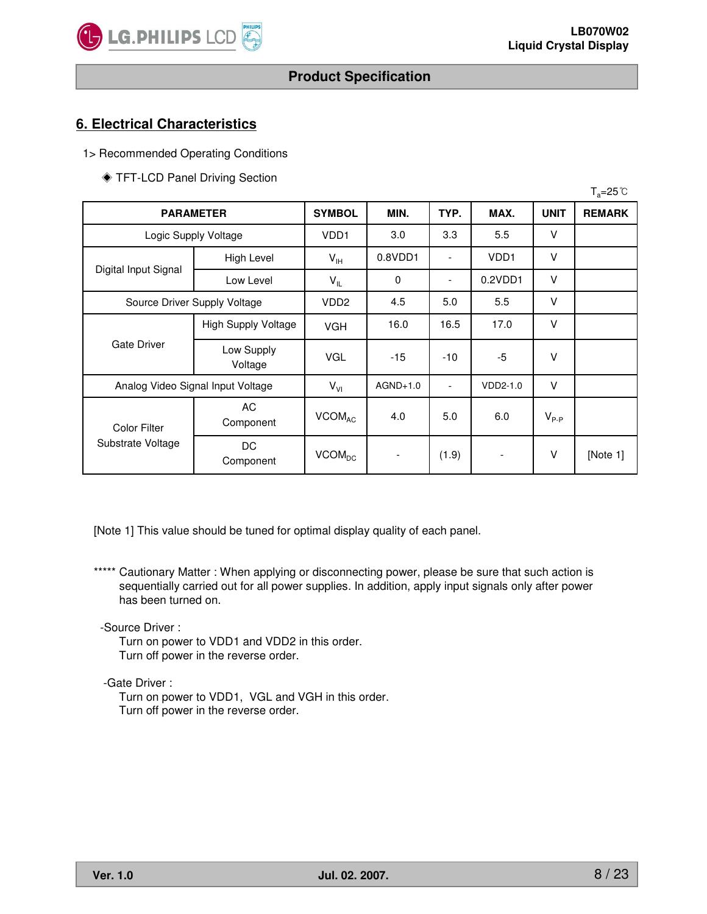

# **6. Electrical Characteristics**

1> Recommended Operating Conditions

TFT-LCD Panel Driving Section

|                      |                                   |                                   |            |                          |                          |             | $T_a = 25^{\circ}C$ |
|----------------------|-----------------------------------|-----------------------------------|------------|--------------------------|--------------------------|-------------|---------------------|
|                      | <b>PARAMETER</b>                  | <b>SYMBOL</b>                     | MIN.       | TYP.                     | MAX.                     | <b>UNIT</b> | <b>REMARK</b>       |
| Logic Supply Voltage |                                   | VD <sub>D1</sub>                  | 3.0        | 3.3                      | 5.5                      | v           |                     |
|                      | High Level                        | $V_{\scriptscriptstyle\text{IH}}$ | 0.8VDD1    | $\overline{\phantom{a}}$ | VD <sub>D1</sub>         | V           |                     |
| Digital Input Signal | Low Level                         | $V_{IL}$                          | 0          | $\overline{\phantom{a}}$ | 0.2VDD1                  | $\vee$      |                     |
|                      | Source Driver Supply Voltage      |                                   | 4.5        | 5.0                      | 5.5                      | v           |                     |
|                      | <b>High Supply Voltage</b>        | <b>VGH</b>                        | 16.0       | 16.5                     | 17.0                     | $\vee$      |                     |
| <b>Gate Driver</b>   | Low Supply<br>Voltage             | <b>VGL</b>                        | $-15$      | $-10$                    | $-5$                     | V           |                     |
|                      | Analog Video Signal Input Voltage | $V_{VI}$                          | $AGND+1.0$ | $\overline{\phantom{a}}$ | VDD2-1.0                 | V           |                     |
| <b>Color Filter</b>  | AC<br>Component                   | <b>VCOMAC</b>                     | 4.0        | 5.0                      | 6.0                      | $V_{P-P}$   |                     |
| Substrate Voltage    | DC<br>Component                   | <b>VCOM<sub>DC</sub></b>          | -          | (1.9)                    | $\overline{\phantom{a}}$ | V           | [Note 1]            |

[Note 1] This value should be tuned for optimal display quality of each panel.

\*\*\*\*\* Cautionary Matter : When applying or disconnecting power, please be sure that such action is sequentially carried out for all power supplies. In addition, apply input signals only after power has been turned on.

-Source Driver :

Turn on power to VDD1 and VDD2 in this order. Turn off power in the reverse order.

-Gate Driver :

Turn on power to VDD1, VGL and VGH in this order. Turn off power in the reverse order.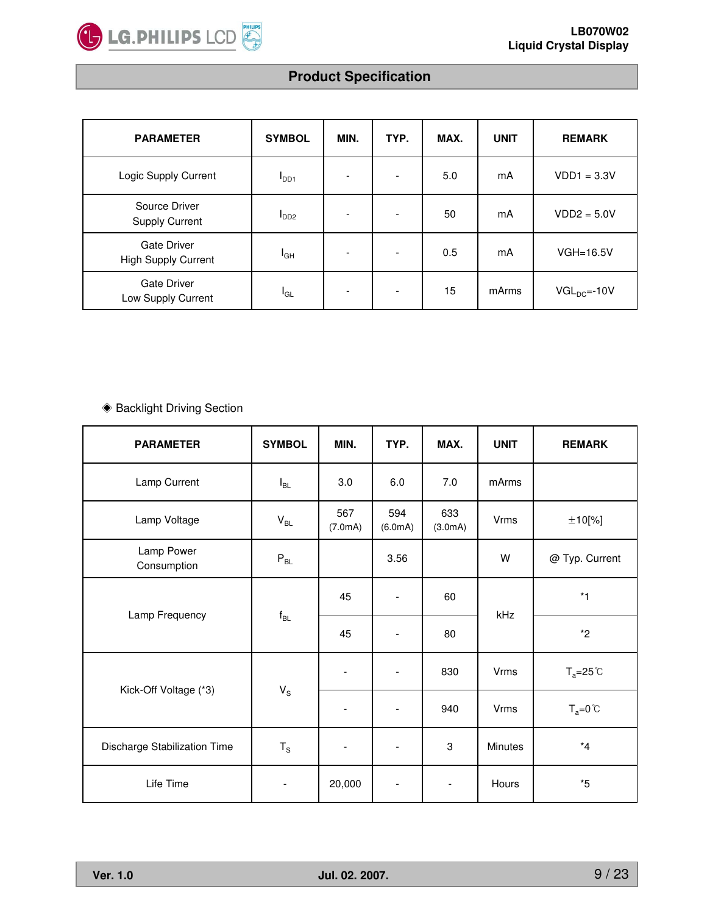

| <b>PARAMETER</b>                                 | <b>SYMBOL</b>    | MIN. | TYP.                     | MAX. | <b>UNIT</b> | <b>REMARK</b>     |
|--------------------------------------------------|------------------|------|--------------------------|------|-------------|-------------------|
| Logic Supply Current                             | I <sub>DD1</sub> |      | $\overline{\phantom{a}}$ | 5.0  | mA          | $VDD1 = 3.3V$     |
| Source Driver<br><b>Supply Current</b>           | I <sub>DD2</sub> |      | $\overline{\phantom{a}}$ | 50   | mA          | $VDD2 = 5.0V$     |
| <b>Gate Driver</b><br><b>High Supply Current</b> | $I_{GH}$         |      | $\overline{\phantom{a}}$ | 0.5  | mA          | $VGH=16.5V$       |
| <b>Gate Driver</b><br>Low Supply Current         | l <sub>GL</sub>  |      | $\overline{\phantom{a}}$ | 15   | mArms       | $VGL_{DC} = -10V$ |

# ◆ Backlight Driving Section

| <b>PARAMETER</b>             | <b>SYMBOL</b>              | MIN.                     | TYP.                     | MAX.                      | <b>UNIT</b>    | <b>REMARK</b>       |
|------------------------------|----------------------------|--------------------------|--------------------------|---------------------------|----------------|---------------------|
| Lamp Current                 | $I_{BL}$                   | 3.0                      | 6.0                      | 7.0                       | mArms          |                     |
| Lamp Voltage                 | $\mathsf{V}_{\mathsf{BL}}$ | 567<br>(7.0mA)           | 594<br>(6.0mA)           | 633<br>(3.0mA)            | <b>Vrms</b>    | ±10[%]              |
| Lamp Power<br>Consumption    | $\mathsf{P}_{\mathsf{BL}}$ |                          | 3.56                     |                           | W              | @ Typ. Current      |
| Lamp Frequency               |                            | 45                       | $\overline{\phantom{a}}$ | 60                        | kHz            | $*1$                |
|                              | $\mathsf{f}_{\mathsf{BL}}$ | 45                       | $\overline{\phantom{a}}$ | 80                        |                | $*2$                |
|                              |                            | $\overline{\phantom{a}}$ | $\overline{\phantom{a}}$ | 830                       | <b>Vrms</b>    | $T_a = 25^{\circ}C$ |
| Kick-Off Voltage (*3)        | $V_S$                      |                          |                          | 940                       | Vrms           | $T_a = 0^{\circ}C$  |
| Discharge Stabilization Time | $T_{\rm S}$                | $\overline{\phantom{a}}$ | $\qquad \qquad -$        | $\ensuremath{\mathsf{3}}$ | <b>Minutes</b> | $*4$                |
| Life Time                    | $\overline{\phantom{a}}$   | 20,000                   | $\overline{\phantom{a}}$ | $\overline{\phantom{a}}$  | Hours          | $*5$                |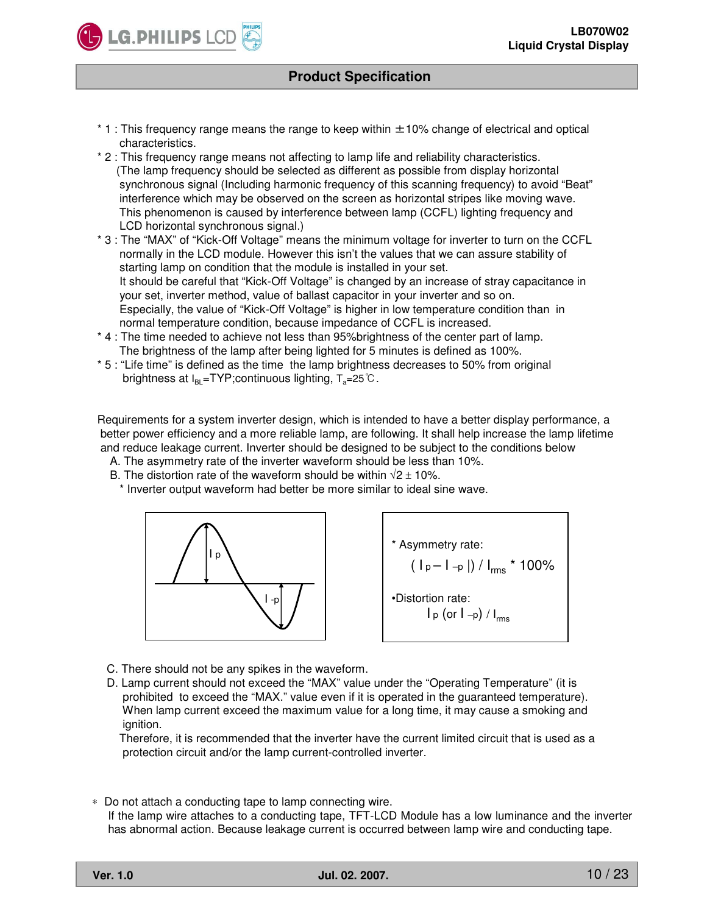

- $*$  1 : This frequency range means the range to keep within  $\pm$ 10% change of electrical and optical characteristics.
- \* 2 : This frequency range means not affecting to lamp life and reliability characteristics. (The lamp frequency should be selected as different as possible from display horizontal synchronous signal (Including harmonic frequency of this scanning frequency) to avoid "Beat" interference which may be observed on the screen as horizontal stripes like moving wave. This phenomenon is caused by interference between lamp (CCFL) lighting frequency and LCD horizontal synchronous signal.)
- \* 3 : The "MAX" of "Kick-Off Voltage" means the minimum voltage for inverter to turn on the CCFL normally in the LCD module. However this isn't the values that we can assure stability of starting lamp on condition that the module is installed in your set. It should be careful that "Kick-Off Voltage" is changed by an increase of stray capacitance in your set, inverter method, value of ballast capacitor in your inverter and so on. Especially, the value of "Kick-Off Voltage" is higher in low temperature condition than in normal temperature condition, because impedance of CCFL is increased.
- \* 4 : The time needed to achieve not less than 95%brightness of the center part of lamp. The brightness of the lamp after being lighted for 5 minutes is defined as 100%.
- \* 5 : "Life time" is defined as the time the lamp brightness decreases to 50% from original brightness at  $I_{BL}$ =TYP;continuous lighting,  $T_a$ =25°C.

Requirements for a system inverter design, which is intended to have a better display performance, a better power efficiency and a more reliable lamp, are following. It shall help increase the lamp lifetime and reduce leakage current. Inverter should be designed to be subject to the conditions below

- A. The asymmetry rate of the inverter waveform should be less than 10%.
- B. The distortion rate of the waveform should be within  $\sqrt{2} \pm 10\%$ .
	- \* Inverter output waveform had better be more similar to ideal sine wave.



\* Asymmetry rate:  $( |p - l - p|) / |_{rms} * 100\%$ •Distortion rate:  $I_p$  (or  $I_{-p}$ ) /  $I_{rms}$ 

- C. There should not be any spikes in the waveform.
- D. Lamp current should not exceed the "MAX" value under the "Operating Temperature" (it is prohibited to exceed the "MAX." value even if it is operated in the guaranteed temperature). When lamp current exceed the maximum value for a long time, it may cause a smoking and ignition.

Therefore, it is recommended that the inverter have the current limited circuit that is used as a protection circuit and/or the lamp current-controlled inverter.

∗ Do not attach a conducting tape to lamp connecting wire. If the lamp wire attaches to a conducting tape, TFT-LCD Module has a low luminance and the inverter has abnormal action. Because leakage current is occurred between lamp wire and conducting tape.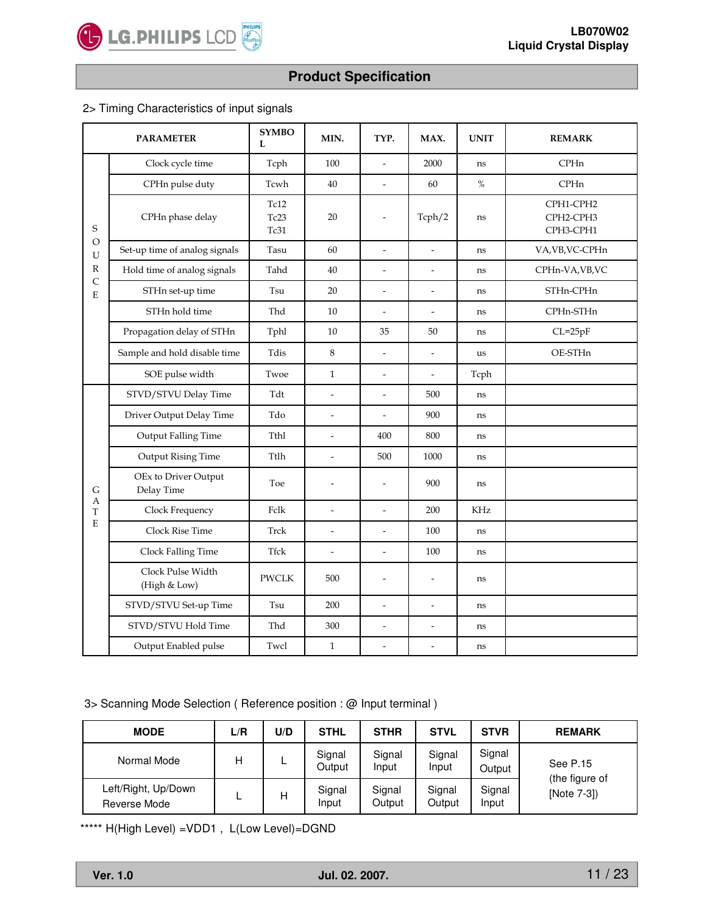

### 2> Timing Characteristics of input signals

|                   | <b>PARAMETER</b>                   | <b>SYMBO</b><br>L    | MIN.                     | TYP.                     | MAX.                     | <b>UNIT</b> | <b>REMARK</b>                       |
|-------------------|------------------------------------|----------------------|--------------------------|--------------------------|--------------------------|-------------|-------------------------------------|
|                   | Clock cycle time                   | Tcph                 | 100                      | $\overline{a}$           | 2000                     | ns          | CPHn                                |
|                   | CPHn pulse duty                    | Tcwh                 | 40                       | $\frac{1}{2}$            | 60                       | %           | <b>CPHn</b>                         |
| S                 | CPHn phase delay                   | Tc12<br>Tc23<br>Tc31 | 20                       | $\overline{\phantom{m}}$ | Tcph/2                   | ns          | CPH1-CPH2<br>CPH2-CPH3<br>CPH3-CPH1 |
| $\circ$<br>U      | Set-up time of analog signals      | Tasu                 | 60                       | $\overline{a}$           | $\overline{a}$           | ns          | VA, VB, VC-CPHn                     |
| $\mathbb{R}$      | Hold time of analog signals        | Tahd                 | 40                       | $\overline{a}$           | $\overline{a}$           | ns          | CPHn-VA, VB, VC                     |
| $\mathsf{C}$<br>E | STHn set-up time                   | Tsu                  | 20                       | $\overline{a}$           | $\overline{\phantom{a}}$ | ns          | STHn-CPHn                           |
|                   | STHn hold time                     | Thd                  | 10                       | $\overline{\phantom{a}}$ | $\frac{1}{2}$            | ns          | CPHn-STHn                           |
|                   | Propagation delay of STHn          | Tphl                 | 10                       | 35                       | 50                       | ns          | $CL=25pF$                           |
|                   | Sample and hold disable time       | Tdis                 | $\,8\,$                  | $\overline{a}$           | $\frac{1}{2}$            | us          | OE-STHn                             |
|                   | SOE pulse width                    | Twoe                 | $\mathbf{1}$             | $\overline{\phantom{a}}$ | $\overline{\phantom{a}}$ | Tcph        |                                     |
|                   | STVD/STVU Delay Time               | Tdt                  | $\overline{a}$           | $\overline{a}$           | 500                      | ns          |                                     |
|                   | Driver Output Delay Time           | Tdo                  | $\overline{a}$           | $\overline{a}$           | 900                      | ns          |                                     |
|                   | Output Falling Time                | Tthl                 | $\overline{a}$           | 400                      | 800                      | ns          |                                     |
|                   | Output Rising Time                 | Ttlh                 | $\overline{\phantom{a}}$ | 500                      | 1000                     | ns          |                                     |
| G                 | OEx to Driver Output<br>Delay Time | Toe                  | $\overline{a}$           | $\overline{\phantom{m}}$ | 900                      | ns          |                                     |
| А<br>T            | Clock Frequency                    | Fclk                 | $\overline{a}$           | $\overline{a}$           | 200                      | KHz         |                                     |
| E                 | Clock Rise Time                    | Trck                 | $\overline{a}$           | $\overline{a}$           | 100                      | ns          |                                     |
|                   | Clock Falling Time                 | <b>Tfck</b>          | $\overline{\phantom{a}}$ | $\overline{a}$           | 100                      | ns          |                                     |
|                   | Clock Pulse Width<br>(High & Low)  | <b>PWCLK</b>         | 500                      | $\overline{a}$           | $\overline{a}$           | ns          |                                     |
|                   | STVD/STVU Set-up Time              | Tsu                  | 200                      | $\frac{1}{2}$            | $\overline{\phantom{a}}$ | ns          |                                     |
|                   | STVD/STVU Hold Time                | Thd                  | 300                      | $\overline{a}$           | $\overline{a}$           | ns          |                                     |
|                   | Output Enabled pulse               | Twcl                 | $\mathbf{1}$             | $\overline{a}$           | $\overline{a}$           | ns          |                                     |

#### 3> Scanning Mode Selection ( Reference position : @ Input terminal )

| <b>MODE</b>                         | L/R | U/D | <b>STHL</b>      | <b>STHR</b>      | <b>STVL</b>      | <b>STVR</b>      | <b>REMARK</b>                 |
|-------------------------------------|-----|-----|------------------|------------------|------------------|------------------|-------------------------------|
| Normal Mode                         | н   |     | Signal<br>Output | Signal<br>Input  | Signal<br>Input  | Signal<br>Output | See P.15                      |
| Left/Right, Up/Down<br>Reverse Mode | ┕   | н   | Signal<br>Input  | Signal<br>Output | Signal<br>Output | Signal<br>Input  | (the figure of<br>[Note 7-3]) |

\*\*\*\*\* H(High Level) =VDD1 , L(Low Level)=DGND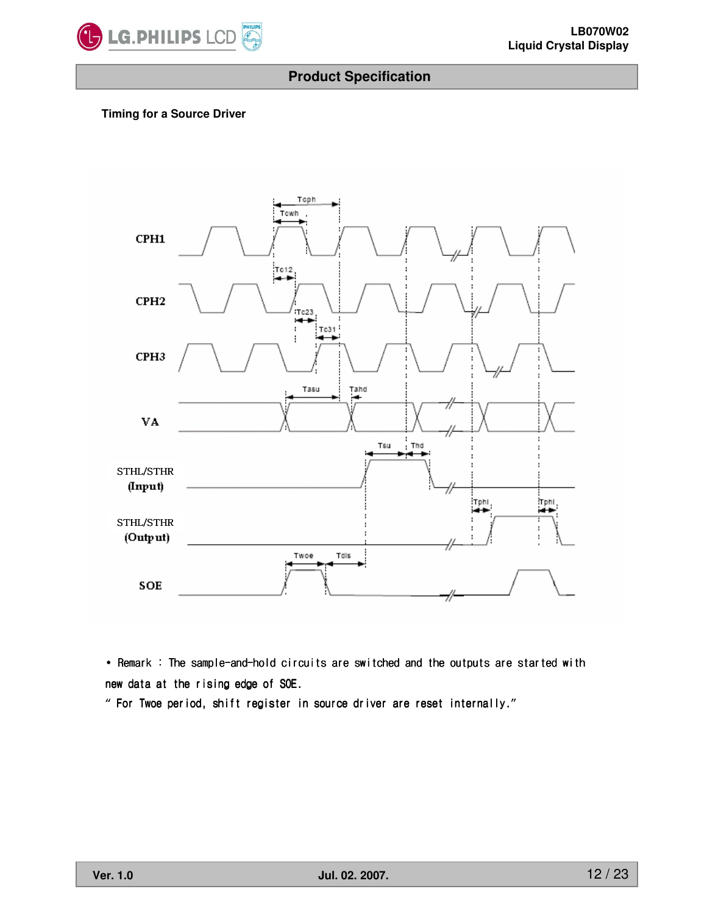

#### **Timing for a Source Driver**



• Remark : The sample-and-hold circuits are switched and the outputs are started with new data at the rising edge of SOE.

" For Twoe period, shift register in source driver are reset internally."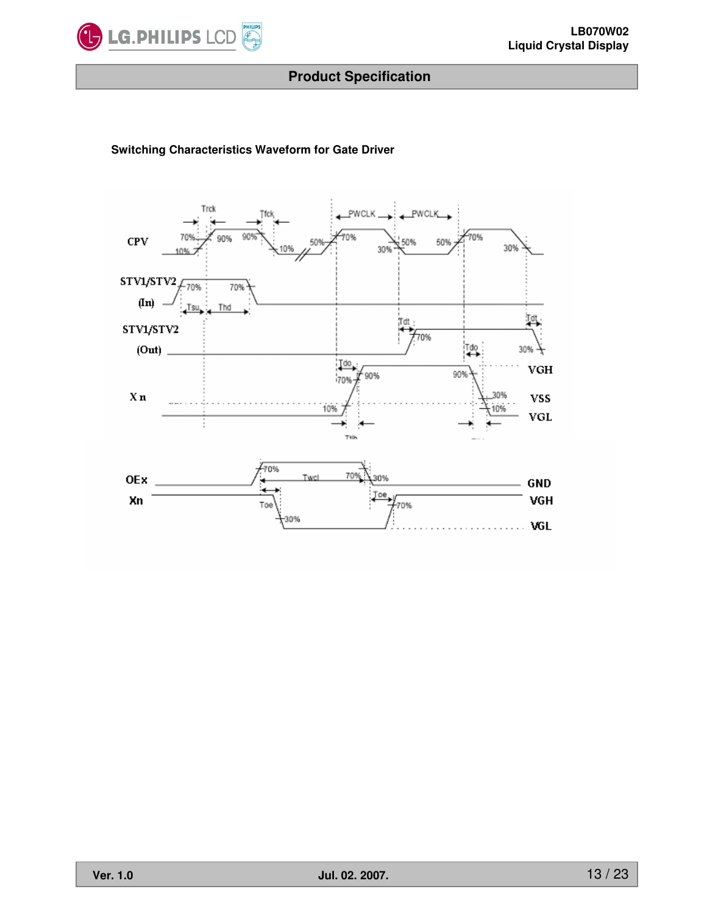

#### **Switching Characteristics Waveform for Gate Driver**

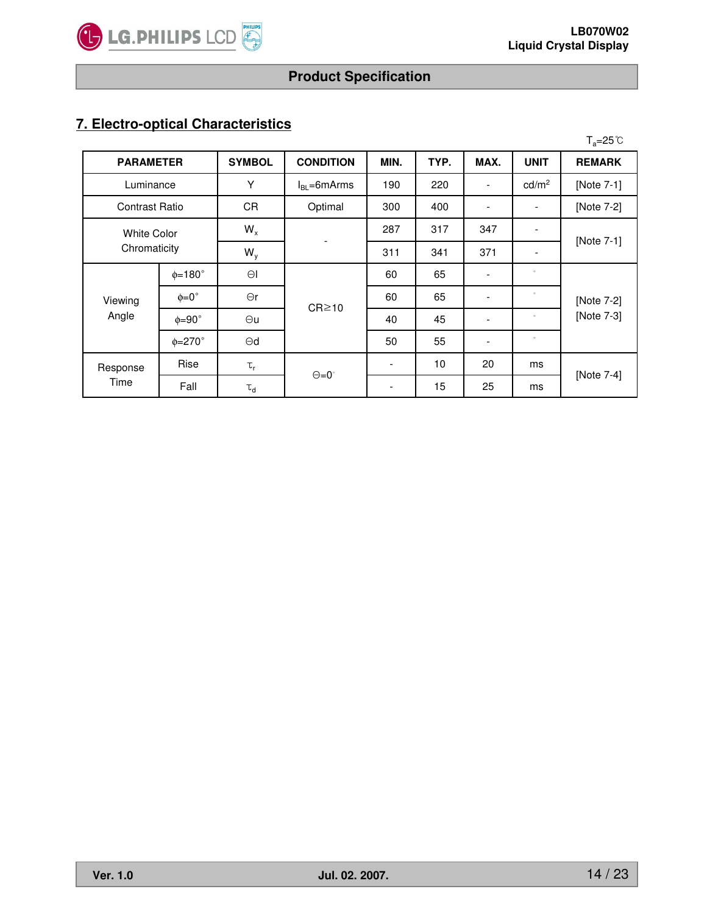

# **7. Electro-optical Characteristics**

|                |                               |                   |                  |      |      |                          |                          | $T_a = 25^\circ \text{C}$ |  |
|----------------|-------------------------------|-------------------|------------------|------|------|--------------------------|--------------------------|---------------------------|--|
|                | <b>PARAMETER</b>              |                   | <b>CONDITION</b> | MIN. | TYP. | MAX.                     | <b>UNIT</b>              | <b>REMARK</b>             |  |
| Luminance      |                               | Υ                 | $IBI = 6mArms$   | 190  | 220  |                          | cd/m <sup>2</sup>        | [Note 7-1]                |  |
| Contrast Ratio |                               | <b>CR</b>         | Optimal          | 300  | 400  |                          | $\overline{\phantom{a}}$ | [Note 7-2]                |  |
|                | $W_{x}$<br><b>White Color</b> |                   |                  | 287  | 317  | 347                      | $\overline{\phantom{a}}$ |                           |  |
| Chromaticity   |                               | $W_{V}$           |                  | 311  | 341  | 371                      | $\overline{\phantom{a}}$ | [Note 7-1]                |  |
|                | $\phi = 180^\circ$            | $\Theta$          |                  | 60   | 65   | $\overline{\phantom{a}}$ | $\circ$                  |                           |  |
| Viewing        | $\phi = 0^{\circ}$            | $\Theta$ r        | $CR \ge 10$      | 60   | 65   |                          | $\circ$                  | [Note 7-2]                |  |
| Angle          | $\phi = 90^\circ$             | $\Theta$ u        |                  | 40   | 45   |                          | $\circ$                  | [Note 7-3]                |  |
|                | $\phi = 270^\circ$            | $\Theta$ d        |                  | 50   | 55   |                          | $\circ$                  |                           |  |
| Response       | Rise                          | $\tau_{\text{r}}$ |                  |      | 10   | 20                       | ms                       |                           |  |
| Time           | Fall                          | $\tau_d$          | $\Theta = 0$     |      | 15   | 25                       | ms                       | [Note 7-4]                |  |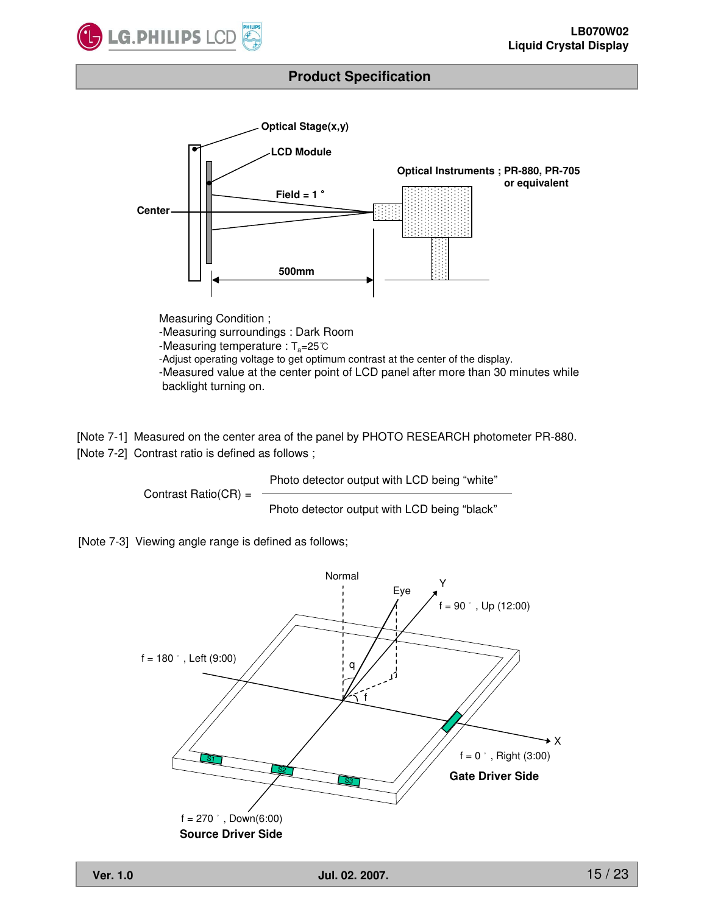



-Measuring surroundings : Dark Room -Measuring temperature :  $T_a = 25^\circ \text{C}$ -Adjust operating voltage to get optimum contrast at the center of the display. -Measured value at the center point of LCD panel after more than 30 minutes while backlight turning on.

[Note 7-1] Measured on the center area of the panel by PHOTO RESEARCH photometer PR-880. [Note 7-2] Contrast ratio is defined as follows ;

> Contrast Ratio(CR) = Photo detector output with LCD being "white" Photo detector output with LCD being "black"

[Note 7-3] Viewing angle range is defined as follows;

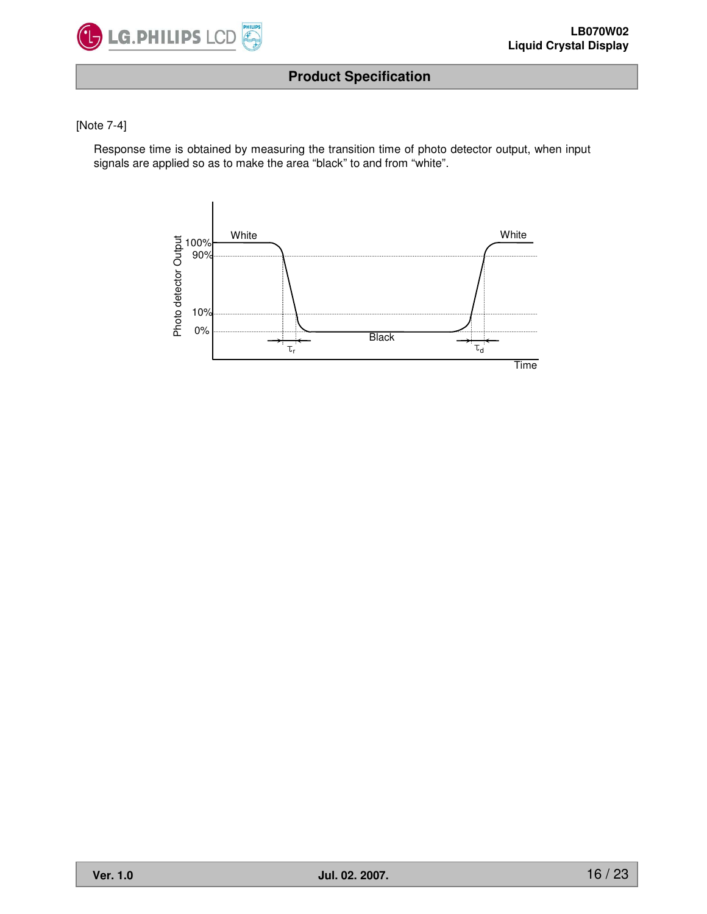

#### [Note 7-4]

Response time is obtained by measuring the transition time of photo detector output, when input signals are applied so as to make the area "black" to and from "white".

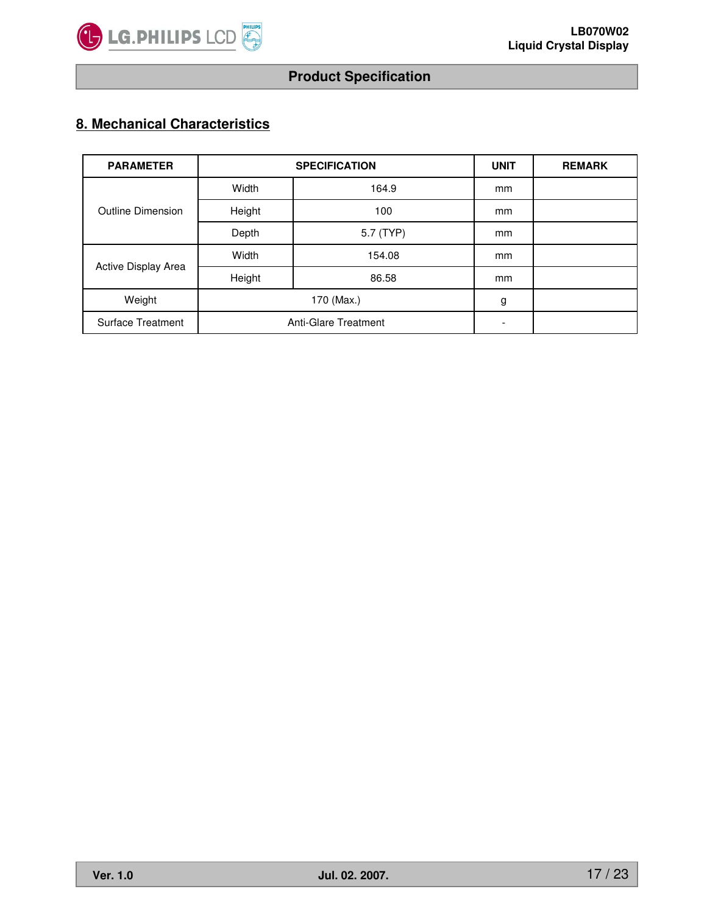

# **8. Mechanical Characteristics**

| <b>PARAMETER</b>         |        | <b>SPECIFICATION</b>        | <b>UNIT</b> | <b>REMARK</b> |
|--------------------------|--------|-----------------------------|-------------|---------------|
|                          | Width  | 164.9                       |             |               |
| <b>Outline Dimension</b> | Height | 100                         | mm          |               |
|                          | Depth  | 5.7 (TYP)                   | mm          |               |
|                          | Width  | 154.08                      | mm          |               |
| Active Display Area      | Height | 86.58                       | mm          |               |
| Weight                   |        | 170 (Max.)                  | g           |               |
| <b>Surface Treatment</b> |        | <b>Anti-Glare Treatment</b> | -           |               |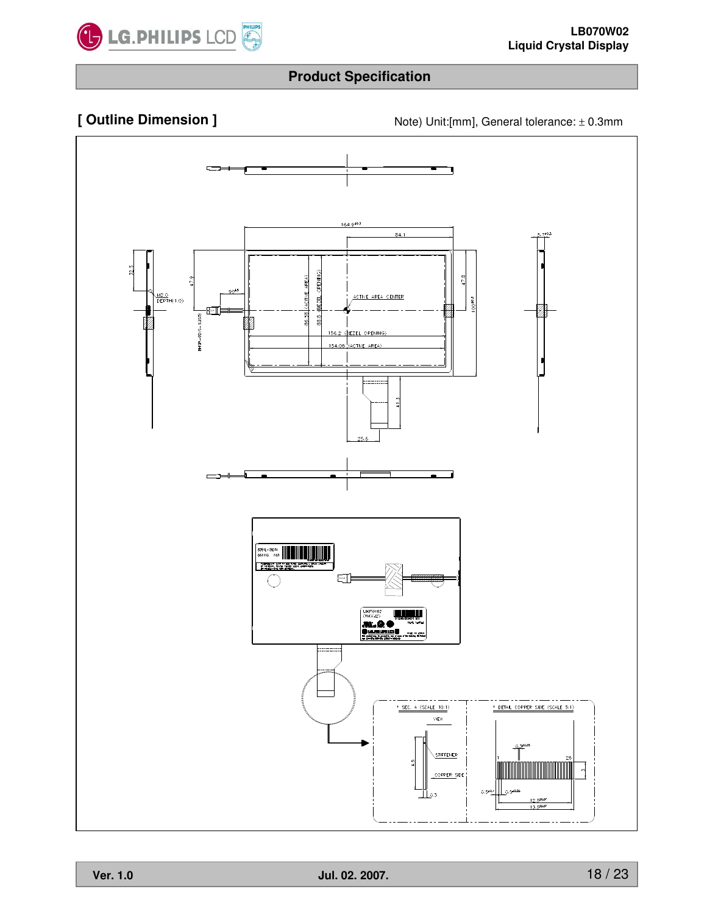

**[ Outline Dimension ]** Note) Unit:[mm], General tolerance: ± 0.3mm

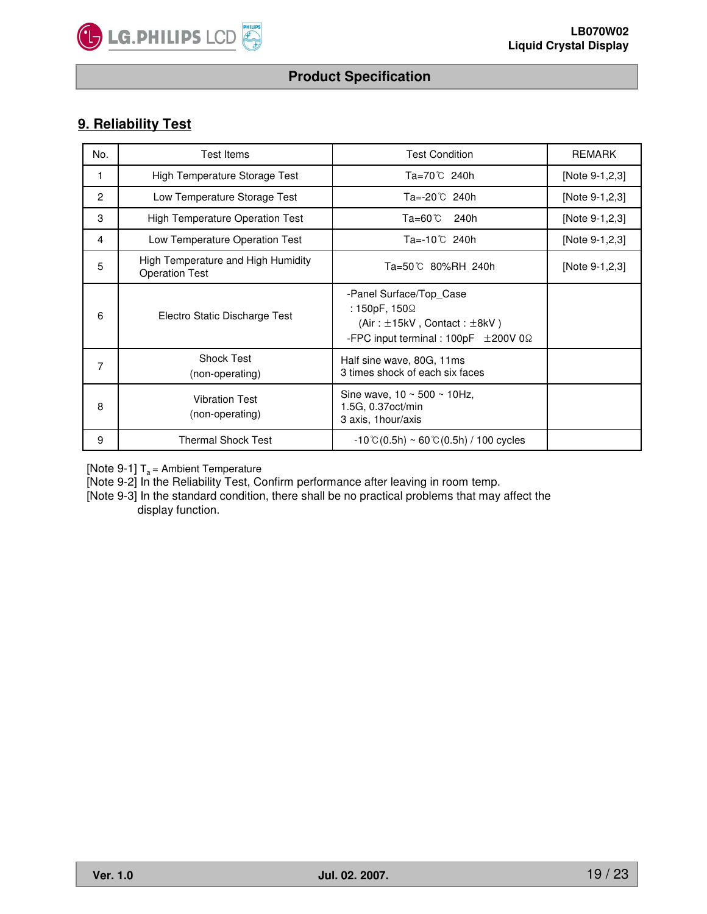

# **9. Reliability Test**

| No.            | <b>Test Items</b>                                           | <b>Test Condition</b>                                                                                                                  | <b>REMARK</b>  |
|----------------|-------------------------------------------------------------|----------------------------------------------------------------------------------------------------------------------------------------|----------------|
| 1              | High Temperature Storage Test                               | Ta=70℃ 240h                                                                                                                            | [Note 9-1,2,3] |
| $\overline{2}$ | Low Temperature Storage Test                                | Ta=-20℃ 240h                                                                                                                           | [Note 9-1,2,3] |
| 3              | <b>High Temperature Operation Test</b>                      | Ta=60℃<br>240h                                                                                                                         | [Note 9-1,2,3] |
| 4              | Low Temperature Operation Test                              | Ta=-10℃ 240h                                                                                                                           | [Note 9-1,2,3] |
| 5              | High Temperature and High Humidity<br><b>Operation Test</b> | Ta=50℃ 80%RH 240h                                                                                                                      | [Note 9-1,2,3] |
| 6              | Electro Static Discharge Test                               | -Panel Surface/Top Case<br>: 150pF, 150Ω<br>(Air: $\pm$ 15kV, Contact: $\pm$ 8kV)<br>-FPC input terminal : 100pF $\pm 200V$ 0 $\Omega$ |                |
| 7              | <b>Shock Test</b><br>(non-operating)                        | Half sine wave, 80G, 11ms<br>3 times shock of each six faces                                                                           |                |
| 8              | <b>Vibration Test</b><br>(non-operating)                    | Sine wave, $10 \sim 500 \sim 10$ Hz,<br>1.5G, 0.37oct/min<br>3 axis, 1 hour/axis                                                       |                |
| 9              | <b>Thermal Shock Test</b>                                   | $-10^{\circ}$ C(0.5h) ~ 60 $^{\circ}$ C(0.5h) / 100 cycles                                                                             |                |

[Note 9-1]  $T_a$  = Ambient Temperature

[Note 9-2] In the Reliability Test, Confirm performance after leaving in room temp.

[Note 9-3] In the standard condition, there shall be no practical problems that may affect the display function.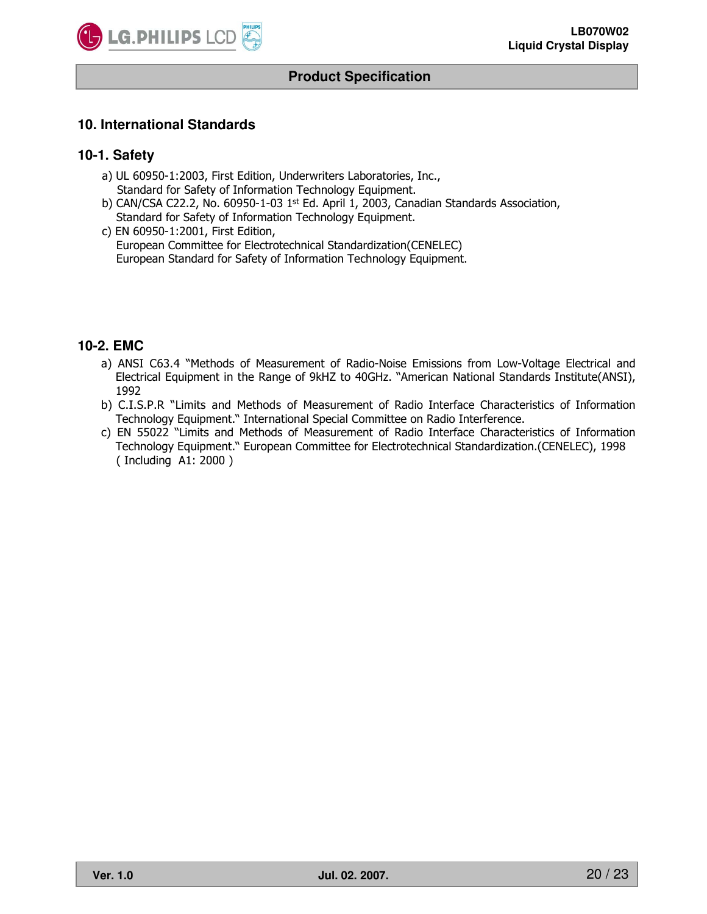

#### **10. International Standards**

#### **10-1. Safety**

- a) UL 60950-1:2003, First Edition, Underwriters Laboratories, Inc., Standard for Safety of Information Technology Equipment.
- b) CAN/CSA C22.2, No. 60950-1-03  $1<sup>st</sup>$  Ed. April 1, 2003, Canadian Standards Association, Standard for Safety of Information Technology Equipment.
- c) EN 60950-1:2001, First Edition, European Committee for Electrotechnical Standardization(CENELEC) European Standard for Safety of Information Technology Equipment.

### **10-2. EMC**

- a) ANSI C63.4 "Methods of Measurement of Radio-Noise Emissions from Low-Voltage Electrical and Electrical Equipment in the Range of 9kHZ to 40GHz. "American National Standards Institute(ANSI), 1992
- b) C.I.S.P.R "Limits and Methods of Measurement of Radio Interface Characteristics of Information Technology Equipment." International Special Committee on Radio Interference.
- c) EN 55022 "Limits and Methods of Measurement of Radio Interface Characteristics of Information Technology Equipment." European Committee for Electrotechnical Standardization.(CENELEC), 1998 ( Including A1: 2000 )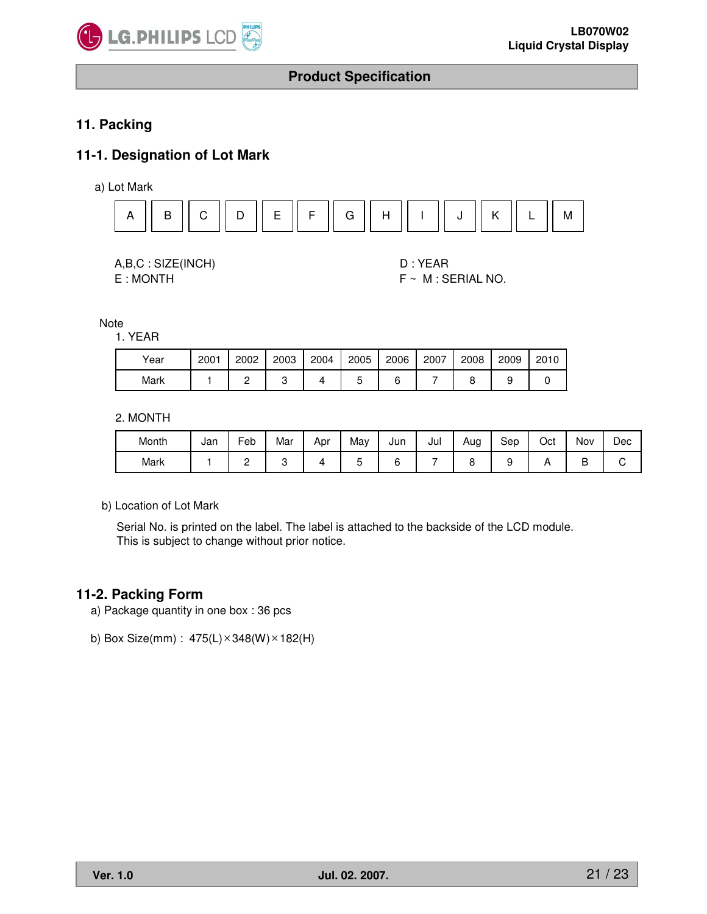

# **11. Packing**

# **11-1. Designation of Lot Mark**

a) Lot Mark



A,B,C : SIZE(INCH) D : YEAR

E : MONTH F ~ M : SERIAL NO.

**Note** 

1. YEAR

| Year | 2001 | 2002 | 2003 | 2004 | 2005 | 2006 | 2007 | 2008 | 2009 | 2010 |
|------|------|------|------|------|------|------|------|------|------|------|
| Mark |      |      |      | Δ    |      |      |      |      |      |      |

2. MONTH

| Month | Jan | -<br>Feb | Mar | Apr | Mav | Jun | Jul | Aug | Sep | Oct | Nov | Dec |
|-------|-----|----------|-----|-----|-----|-----|-----|-----|-----|-----|-----|-----|
| Mark  |     | -        |     |     |     |     |     | ∼   |     |     | ◡   |     |

b) Location of Lot Mark

Serial No. is printed on the label. The label is attached to the backside of the LCD module. This is subject to change without prior notice.

#### **11-2. Packing Form**

- a) Package quantity in one box : 36 pcs
- b) Box Size(mm) :  $475(L) \times 348(W) \times 182(H)$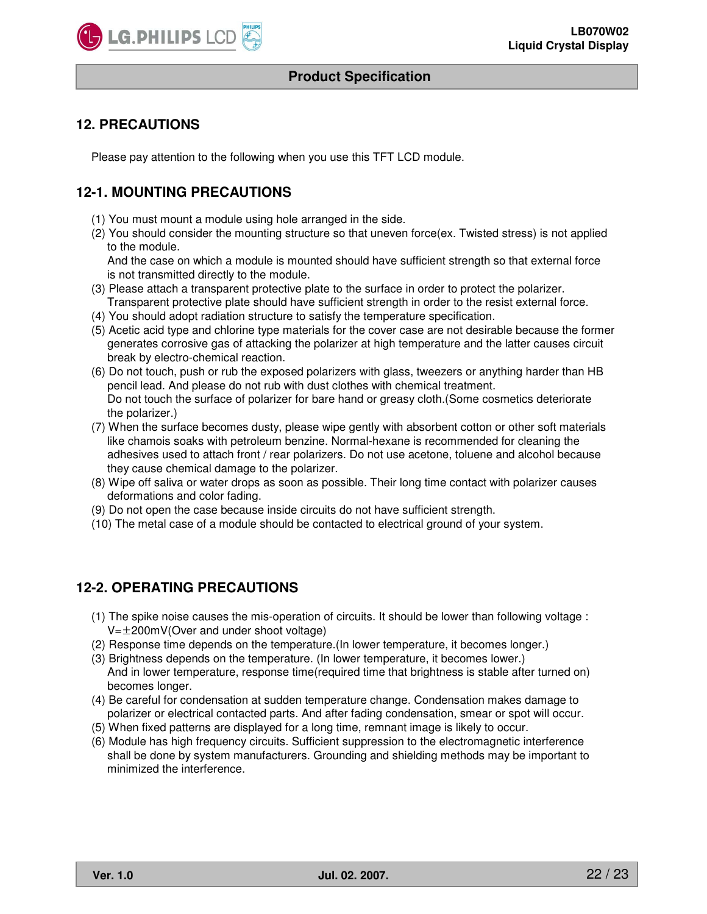

# **12. PRECAUTIONS**

Please pay attention to the following when you use this TFT LCD module.

# **12-1. MOUNTING PRECAUTIONS**

- (1) You must mount a module using hole arranged in the side.
- (2) You should consider the mounting structure so that uneven force(ex. Twisted stress) is not applied to the module.

And the case on which a module is mounted should have sufficient strength so that external force is not transmitted directly to the module.

- (3) Please attach a transparent protective plate to the surface in order to protect the polarizer. Transparent protective plate should have sufficient strength in order to the resist external force.
- (4) You should adopt radiation structure to satisfy the temperature specification.
- (5) Acetic acid type and chlorine type materials for the cover case are not desirable because the former generates corrosive gas of attacking the polarizer at high temperature and the latter causes circuit break by electro-chemical reaction.
- (6) Do not touch, push or rub the exposed polarizers with glass, tweezers or anything harder than HB pencil lead. And please do not rub with dust clothes with chemical treatment. Do not touch the surface of polarizer for bare hand or greasy cloth.(Some cosmetics deteriorate the polarizer.)
- (7) When the surface becomes dusty, please wipe gently with absorbent cotton or other soft materials like chamois soaks with petroleum benzine. Normal-hexane is recommended for cleaning the adhesives used to attach front / rear polarizers. Do not use acetone, toluene and alcohol because they cause chemical damage to the polarizer.
- (8) Wipe off saliva or water drops as soon as possible. Their long time contact with polarizer causes deformations and color fading.
- (9) Do not open the case because inside circuits do not have sufficient strength.
- (10) The metal case of a module should be contacted to electrical ground of your system.

# **12-2. OPERATING PRECAUTIONS**

- (1) The spike noise causes the mis-operation of circuits. It should be lower than following voltage :  $V=\pm 200$ mV(Over and under shoot voltage)
- (2) Response time depends on the temperature.(In lower temperature, it becomes longer.)
- (3) Brightness depends on the temperature. (In lower temperature, it becomes lower.) And in lower temperature, response time(required time that brightness is stable after turned on) becomes longer.
- (4) Be careful for condensation at sudden temperature change. Condensation makes damage to polarizer or electrical contacted parts. And after fading condensation, smear or spot will occur.
- (5) When fixed patterns are displayed for a long time, remnant image is likely to occur.
- (6) Module has high frequency circuits. Sufficient suppression to the electromagnetic interference shall be done by system manufacturers. Grounding and shielding methods may be important to minimized the interference.